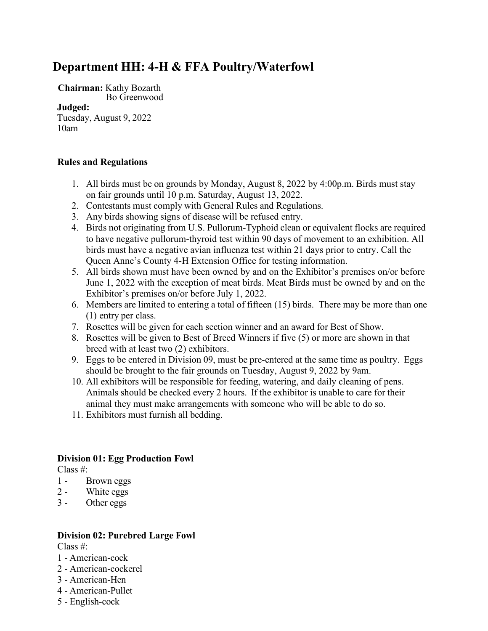# **Department HH: 4-H & FFA Poultry/Waterfowl**

**Chairman:** Kathy Bozarth Bo Greenwood

#### **Judged:**

Tuesday, August 9, 2022 10am

#### **Rules and Regulations**

- 1. All birds must be on grounds by Monday, August 8, 2022 by 4:00p.m. Birds must stay on fair grounds until 10 p.m. Saturday, August 13, 2022.
- 2. Contestants must comply with General Rules and Regulations.
- 3. Any birds showing signs of disease will be refused entry.
- 4. Birds not originating from U.S. Pullorum-Typhoid clean or equivalent flocks are required to have negative pullorum-thyroid test within 90 days of movement to an exhibition. All birds must have a negative avian influenza test within 21 days prior to entry. Call the Queen Anne's County 4-H Extension Office for testing information.
- 5. All birds shown must have been owned by and on the Exhibitor's premises on/or before June 1, 2022 with the exception of meat birds. Meat Birds must be owned by and on the Exhibitor's premises on/or before July 1, 2022.
- 6. Members are limited to entering a total of fifteen (15) birds. There may be more than one (1) entry per class.
- 7. Rosettes will be given for each section winner and an award for Best of Show.
- 8. Rosettes will be given to Best of Breed Winners if five (5) or more are shown in that breed with at least two (2) exhibitors.
- 9. Eggs to be entered in Division 09, must be pre-entered at the same time as poultry. Eggs should be brought to the fair grounds on Tuesday, August 9, 2022 by 9am.
- 10. All exhibitors will be responsible for feeding, watering, and daily cleaning of pens. Animals should be checked every 2 hours. If the exhibitor is unable to care for their animal they must make arrangements with someone who will be able to do so.
- 11. Exhibitors must furnish all bedding.

## **Division 01: Egg Production Fowl**

Class #:

- 1 Brown eggs
- 2 White eggs
- 3 Other eggs

#### **Division 02: Purebred Large Fowl**

Class #:

- 1 American-cock
- 2 American-cockerel
- 3 American-Hen
- 4 American-Pullet
- 5 English-cock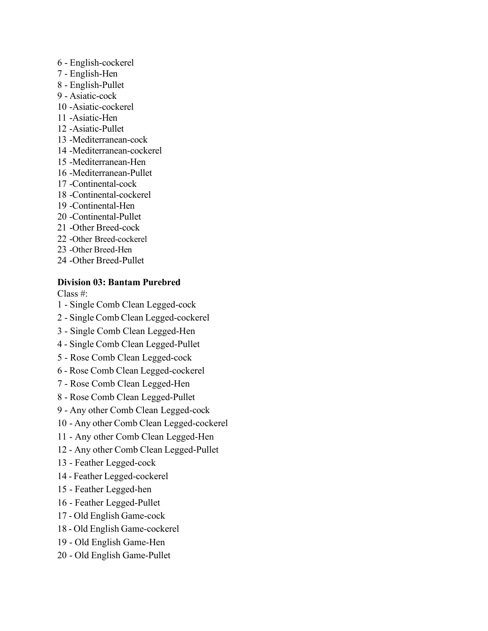- English-cockerel
- English-Hen
- English-Pullet
- Asiatic-cock
- -Asiatic-cockerel
- -Asiatic-Hen
- -Asiatic-Pullet
- -Mediterranean-cock
- -Mediterranean-cockerel
- -Mediterranean-Hen
- -Mediterranean-Pullet
- -Continental-cock
- -Continental-cockerel
- -Continental-Hen
- -Continental-Pullet
- -Other Breed-cock
- -Other Breed-cockerel
- -Other Breed-Hen
- -Other Breed-Pullet

## **Division 03: Bantam Purebred**

Class #:

- Single Comb Clean Legged-cock
- Single Comb Clean Legged-cockerel
- 3 Single Comb Clean Legged-Hen
- Single Comb Clean Legged-Pullet
- 5 Rose Comb Clean Legged-cock
- Rose Comb Clean Legged-cockerel
- 7 Rose Comb Clean Legged-Hen
- Rose Comb Clean Legged-Pullet
- Any other Comb Clean Legged-cock
- Any other Comb Clean Legged-cockerel
- 11 Any other Comb Clean Legged-Hen
- Any other Comb Clean Legged-Pullet
- 13 Feather Legged-cock
- Feather Legged-cockerel
- 15 Feather Legged-hen
- 16 Feather Legged-Pullet
- Old English Game-cock
- Old English Game-cockerel
- 19 Old English Game-Hen
- Old English Game-Pullet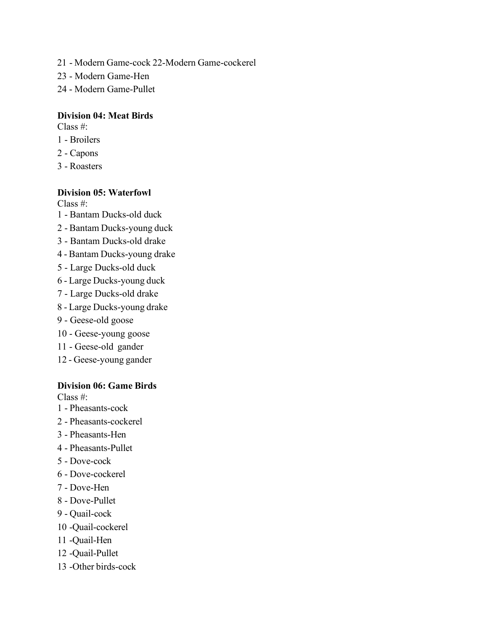- Modern Game-cock 22-Modern Game-cockerel
- 23 Modern Game-Hen
- Modern Game-Pullet

## **Division 04: Meat Birds**

Class #:

- Broilers
- Capons
- Roasters

## **Division 05: Waterfowl**

Class #:

- Bantam Ducks-old duck
- Bantam Ducks-young duck
- 3 Bantam Ducks-old drake
- Bantam Ducks-young drake
- 5 Large Ducks-old duck
- Large Ducks-young duck
- 7 Large Ducks-old drake
- Large Ducks-young drake
- 9 Geese-old goose
- 10 Geese-young goose
- 11 Geese-old gander
- Geese-young gander

#### **Division 06: Game Birds**

Class #:

- Pheasants-cock
- Pheasants-cockerel
- Pheasants-Hen
- Pheasants-Pullet
- Dove-cock
- Dove-cockerel
- Dove-Hen
- Dove-Pullet
- Quail-cock
- -Quail-cockerel
- -Quail-Hen
- -Quail-Pullet
- -Other birds-cock